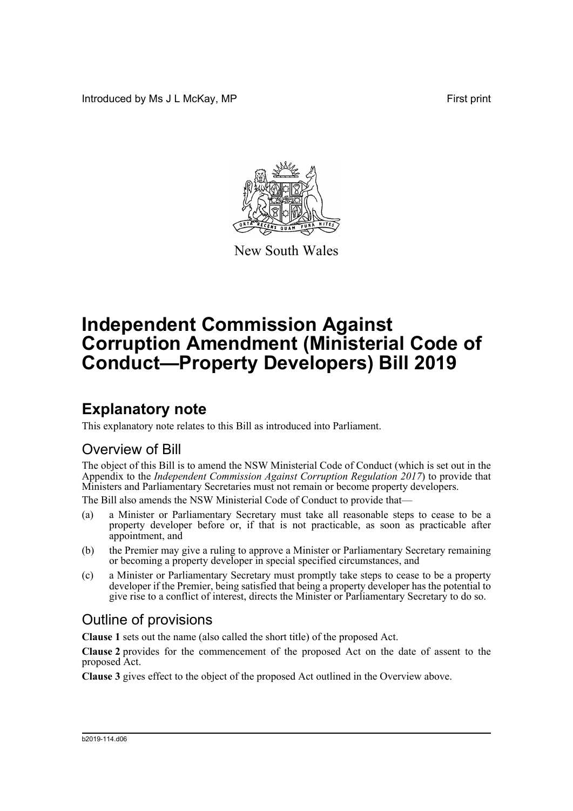Introduced by Ms J L McKay, MP **First** print



New South Wales

# **Independent Commission Against Corruption Amendment (Ministerial Code of Conduct—Property Developers) Bill 2019**

## **Explanatory note**

This explanatory note relates to this Bill as introduced into Parliament.

#### Overview of Bill

The object of this Bill is to amend the NSW Ministerial Code of Conduct (which is set out in the Appendix to the *Independent Commission Against Corruption Regulation 2017*) to provide that Ministers and Parliamentary Secretaries must not remain or become property developers.

The Bill also amends the NSW Ministerial Code of Conduct to provide that—

- (a) a Minister or Parliamentary Secretary must take all reasonable steps to cease to be a property developer before or, if that is not practicable, as soon as practicable after appointment, and
- (b) the Premier may give a ruling to approve a Minister or Parliamentary Secretary remaining or becoming a property developer in special specified circumstances, and
- (c) a Minister or Parliamentary Secretary must promptly take steps to cease to be a property developer if the Premier, being satisfied that being a property developer has the potential to give rise to a conflict of interest, directs the Minister or Parliamentary Secretary to do so.

#### Outline of provisions

**Clause 1** sets out the name (also called the short title) of the proposed Act.

**Clause 2** provides for the commencement of the proposed Act on the date of assent to the proposed Act.

**Clause 3** gives effect to the object of the proposed Act outlined in the Overview above.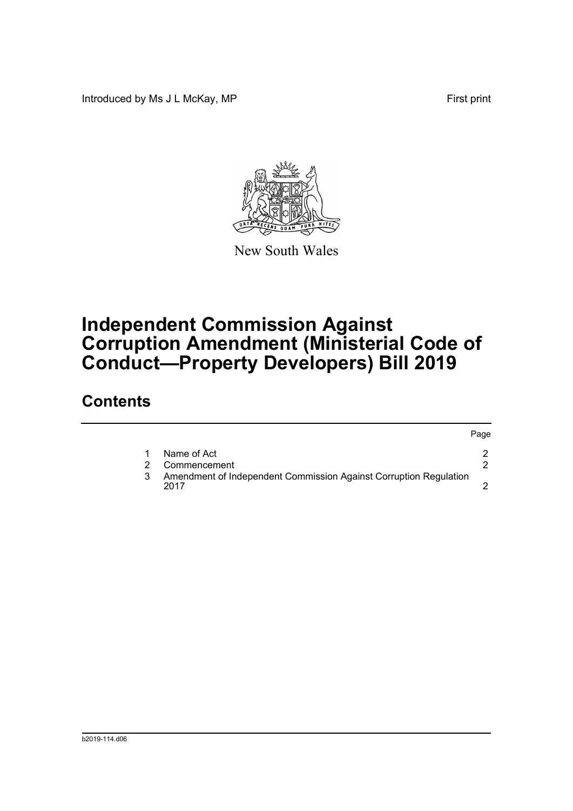Introduced by Ms J L McKay, MP **First** print

Page



New South Wales

## **Independent Commission Against Corruption Amendment (Ministerial Code of Conduct—Property Developers) Bill 2019**

### **Contents**

|                                                                           | r ayc |
|---------------------------------------------------------------------------|-------|
| Name of Act                                                               |       |
| Commencement                                                              |       |
| Amendment of Independent Commission Against Corruption Regulation<br>2017 |       |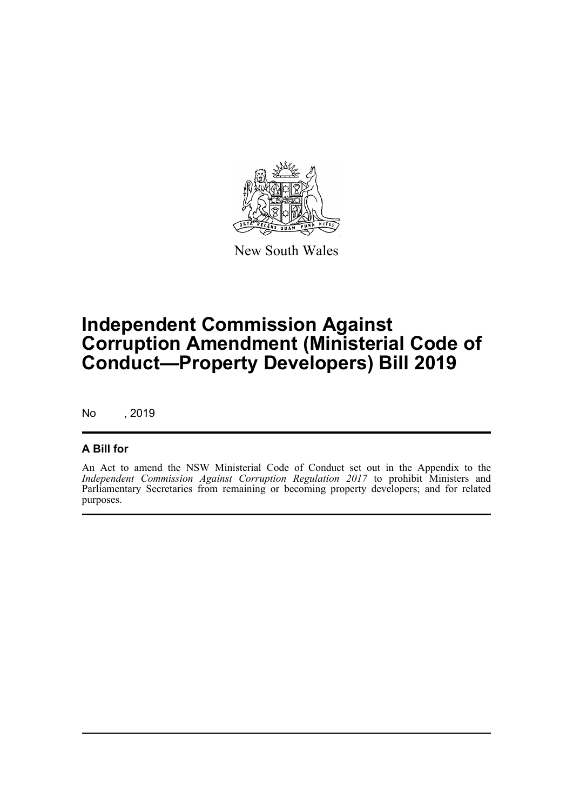

New South Wales

## **Independent Commission Against Corruption Amendment (Ministerial Code of Conduct—Property Developers) Bill 2019**

No , 2019

#### **A Bill for**

An Act to amend the NSW Ministerial Code of Conduct set out in the Appendix to the *Independent Commission Against Corruption Regulation 2017* to prohibit Ministers and Parliamentary Secretaries from remaining or becoming property developers; and for related purposes.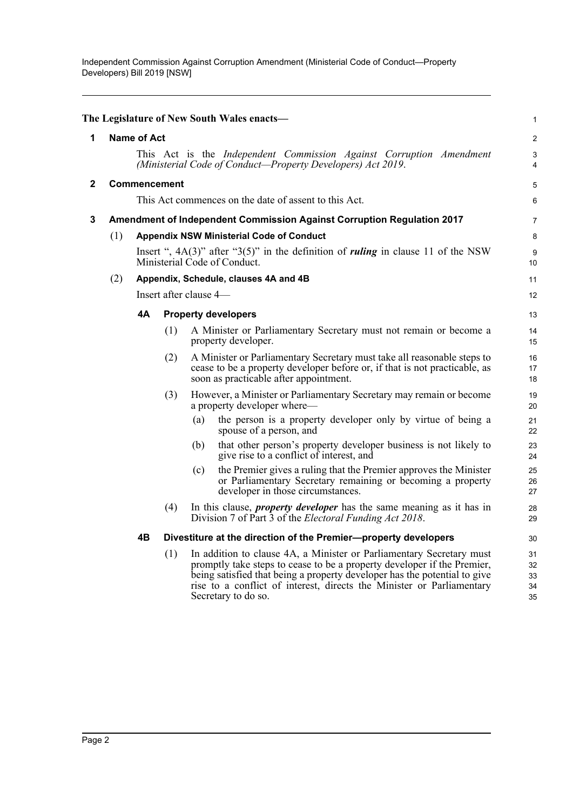<span id="page-3-2"></span><span id="page-3-1"></span><span id="page-3-0"></span>

|              |                                                                                                                                    |                                                       |     | The Legislature of New South Wales enacts-                                                                                                                                                                                                                                                                                   | 1                          |  |  |
|--------------|------------------------------------------------------------------------------------------------------------------------------------|-------------------------------------------------------|-----|------------------------------------------------------------------------------------------------------------------------------------------------------------------------------------------------------------------------------------------------------------------------------------------------------------------------------|----------------------------|--|--|
| 1            | <b>Name of Act</b>                                                                                                                 |                                                       |     |                                                                                                                                                                                                                                                                                                                              |                            |  |  |
|              | This Act is the Independent Commission Against Corruption Amendment<br>(Ministerial Code of Conduct—Property Developers) Act 2019. |                                                       |     |                                                                                                                                                                                                                                                                                                                              |                            |  |  |
| $\mathbf{2}$ | <b>Commencement</b>                                                                                                                |                                                       |     |                                                                                                                                                                                                                                                                                                                              |                            |  |  |
|              |                                                                                                                                    | This Act commences on the date of assent to this Act. |     |                                                                                                                                                                                                                                                                                                                              |                            |  |  |
| 3            |                                                                                                                                    |                                                       |     | <b>Amendment of Independent Commission Against Corruption Regulation 2017</b>                                                                                                                                                                                                                                                | $\overline{7}$             |  |  |
|              | (1)<br><b>Appendix NSW Ministerial Code of Conduct</b>                                                                             |                                                       |     |                                                                                                                                                                                                                                                                                                                              | 8                          |  |  |
|              |                                                                                                                                    |                                                       |     | Insert ", $4A(3)$ " after "3(5)" in the definition of <i>ruling</i> in clause 11 of the NSW<br>Ministerial Code of Conduct.                                                                                                                                                                                                  | 9<br>10                    |  |  |
|              | (2)<br>Appendix, Schedule, clauses 4A and 4B                                                                                       |                                                       |     | 11                                                                                                                                                                                                                                                                                                                           |                            |  |  |
|              |                                                                                                                                    |                                                       |     | Insert after clause 4-                                                                                                                                                                                                                                                                                                       | 12                         |  |  |
|              |                                                                                                                                    | 4А                                                    |     | <b>Property developers</b>                                                                                                                                                                                                                                                                                                   | 13                         |  |  |
|              |                                                                                                                                    |                                                       | (1) | A Minister or Parliamentary Secretary must not remain or become a<br>property developer.                                                                                                                                                                                                                                     | 14<br>15                   |  |  |
|              |                                                                                                                                    |                                                       | (2) | A Minister or Parliamentary Secretary must take all reasonable steps to<br>cease to be a property developer before or, if that is not practicable, as<br>soon as practicable after appointment.                                                                                                                              | 16<br>17<br>18             |  |  |
|              |                                                                                                                                    |                                                       | (3) | However, a Minister or Parliamentary Secretary may remain or become<br>a property developer where—                                                                                                                                                                                                                           | 19<br>20                   |  |  |
|              |                                                                                                                                    |                                                       |     | the person is a property developer only by virtue of being a<br>(a)<br>spouse of a person, and                                                                                                                                                                                                                               | 21<br>22                   |  |  |
|              |                                                                                                                                    |                                                       |     | that other person's property developer business is not likely to<br>(b)<br>give rise to a conflict of interest, and                                                                                                                                                                                                          | 23<br>24                   |  |  |
|              |                                                                                                                                    |                                                       |     | the Premier gives a ruling that the Premier approves the Minister<br>(c)<br>or Parliamentary Secretary remaining or becoming a property<br>developer in those circumstances.                                                                                                                                                 | 25<br>26<br>27             |  |  |
|              |                                                                                                                                    |                                                       | (4) | In this clause, <i>property developer</i> has the same meaning as it has in<br>Division 7 of Part 3 of the <i>Electoral Funding Act 2018</i> .                                                                                                                                                                               | 28<br>29                   |  |  |
|              |                                                                                                                                    | 4Β                                                    |     | Divestiture at the direction of the Premier-property developers                                                                                                                                                                                                                                                              | 30                         |  |  |
|              |                                                                                                                                    |                                                       | (1) | In addition to clause 4A, a Minister or Parliamentary Secretary must<br>promptly take steps to cease to be a property developer if the Premier,<br>being satisfied that being a property developer has the potential to give<br>rise to a conflict of interest, directs the Minister or Parliamentary<br>Secretary to do so. | 31<br>32<br>33<br>34<br>35 |  |  |